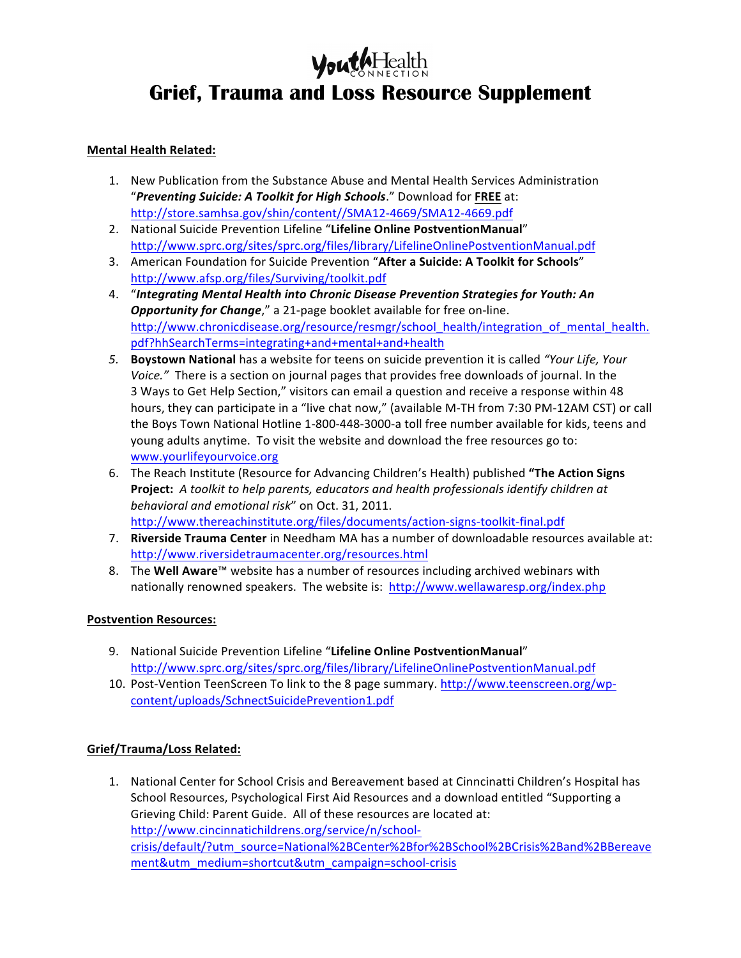# **YouthHealth Grief, Trauma and Loss Resource Supplement**

### **Mental Health Related:**

- 1. New Publication from the Substance Abuse and Mental Health Services Administration "Preventing Suicide: A Toolkit for High Schools." Download for FREE at: http://store.samhsa.gov/shin/content//SMA12-4669/SMA12-4669.pdf
- 2. National Suicide Prevention Lifeline "Lifeline Online PostventionManual" http://www.sprc.org/sites/sprc.org/files/library/LifelineOnlinePostventionManual.pdf
- 3. American Foundation for Suicide Prevention "After a Suicide: A Toolkit for Schools" http://www.afsp.org/files/Surviving/toolkit.pdf
- 4. "Integrating Mental Health into Chronic Disease Prevention Strategies for Youth: An **Opportunity for Change**," a 21-page booklet available for free on-line. http://www.chronicdisease.org/resource/resmgr/school\_health/integration\_of\_mental\_health. pdf?hhSearchTerms=integrating+and+mental+and+health
- 5. **Boystown National** has a website for teens on suicide prevention it is called "Your Life, Your *Voice.*" There is a section on journal pages that provides free downloads of journal. In the 3 Ways to Get Help Section," visitors can email a question and receive a response within 48 hours, they can participate in a "live chat now," (available M-TH from 7:30 PM-12AM CST) or call the Boys Town National Hotline 1-800-448-3000-a toll free number available for kids, teens and young adults anytime. To visit the website and download the free resources go to: www.yourlifeyourvoice.org
- 6. The Reach Institute (Resource for Advancing Children's Health) published "The Action Signs Project: A toolkit to help parents, educators and health professionals identify children at behavioral and emotional risk" on Oct. 31, 2011. http://www.thereachinstitute.org/files/documents/action-signs-toolkit-final.pdf
- 7. **Riverside Trauma Center** in Needham MA has a number of downloadable resources available at: http://www.riversidetraumacenter.org/resources.html
- 8. The Well Aware<sup>™</sup> website has a number of resources including archived webinars with nationally renowned speakers. The website is: http://www.wellawaresp.org/index.php

### **Postvention Resources:**

- 9. National Suicide Prevention Lifeline "Lifeline Online PostventionManual" http://www.sprc.org/sites/sprc.org/files/library/LifelineOnlinePostventionManual.pdf
- 10. Post-Vention TeenScreen To link to the 8 page summary. http://www.teenscreen.org/wpcontent/uploads/SchnectSuicidePrevention1.pdf

## **Grief/Trauma/Loss Related:**

1. National Center for School Crisis and Bereavement based at Cinncinatti Children's Hospital has School Resources, Psychological First Aid Resources and a download entitled "Supporting a Grieving Child: Parent Guide. All of these resources are located at: http://www.cincinnatichildrens.org/service/n/schoolcrisis/default/?utm\_source=National%2BCenter%2Bfor%2BSchool%2BCrisis%2Band%2BBereave ment&utm\_medium=shortcut&utm\_campaign=school-crisis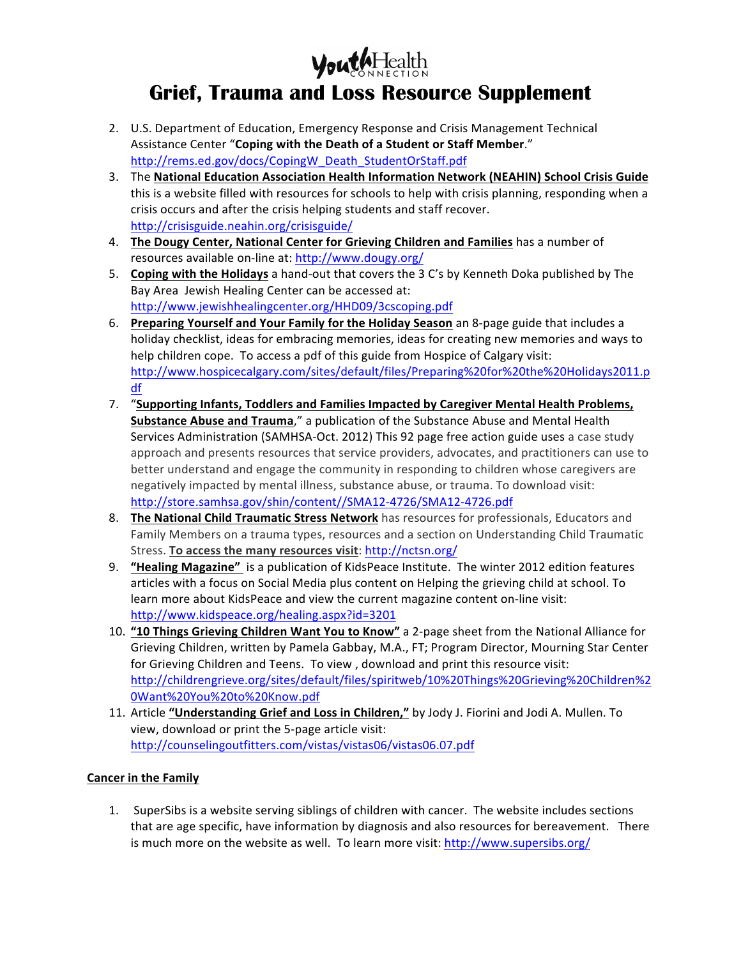

# **Grief, Trauma and Loss Resource Supplement**

- 2. U.S. Department of Education, Emergency Response and Crisis Management Technical Assistance Center "Coping with the Death of a Student or Staff Member." http://rems.ed.gov/docs/CopingW\_Death\_StudentOrStaff.pdf
- 3. The National Education Association Health Information Network (NEAHIN) School Crisis Guide this is a website filled with resources for schools to help with crisis planning, responding when a crisis occurs and after the crisis helping students and staff recover. http://crisisguide.neahin.org/crisisguide/
- 4. **The Dougy Center, National Center for Grieving Children and Families** has a number of resources available on-line at: http://www.dougy.org/
- 5. **Coping with the Holidays** a hand-out that covers the 3 C's by Kenneth Doka published by The Bay Area Jewish Healing Center can be accessed at: http://www.jewishhealingcenter.org/HHD09/3cscoping.pdf
- 6. Preparing Yourself and Your Family for the Holiday Season an 8-page guide that includes a holiday checklist, ideas for embracing memories, ideas for creating new memories and ways to help children cope. To access a pdf of this guide from Hospice of Calgary visit: http://www.hospicecalgary.com/sites/default/files/Preparing%20for%20the%20Holidays2011.p df
- 7. "Supporting Infants, Toddlers and Families Impacted by Caregiver Mental Health Problems, **Substance Abuse and Trauma**," a publication of the Substance Abuse and Mental Health Services Administration (SAMHSA-Oct. 2012) This 92 page free action guide uses a case study approach and presents resources that service providers, advocates, and practitioners can use to better understand and engage the community in responding to children whose caregivers are negatively impacted by mental illness, substance abuse, or trauma. To download visit: http://store.samhsa.gov/shin/content//SMA12-4726/SMA12-4726.pdf
- 8. The National Child Traumatic Stress Network has resources for professionals, Educators and Family Members on a trauma types, resources and a section on Understanding Child Traumatic Stress. **To access the many resources visit:** http://nctsn.org/
- 9. **"Healing Magazine"** is a publication of KidsPeace Institute. The winter 2012 edition features articles with a focus on Social Media plus content on Helping the grieving child at school. To learn more about KidsPeace and view the current magazine content on-line visit: http://www.kidspeace.org/healing.aspx?id=3201
- 10. "10 Things Grieving Children Want You to Know" a 2-page sheet from the National Alliance for Grieving Children, written by Pamela Gabbay, M.A., FT; Program Director, Mourning Star Center for Grieving Children and Teens. To view, download and print this resource visit: http://childrengrieve.org/sites/default/files/spiritweb/10%20Things%20Grieving%20Children%2 0Want%20You%20to%20Know.pdf
- 11. Article "Understanding Grief and Loss in Children," by Jody J. Fiorini and Jodi A. Mullen. To view, download or print the 5-page article visit: http://counselingoutfitters.com/vistas/vistas06/vistas06.07.pdf

## **Cancer in the Family**

1. SuperSibs is a website serving siblings of children with cancer. The website includes sections that are age specific, have information by diagnosis and also resources for bereavement. There is much more on the website as well. To learn more visit:  $http://www.supersibs.org/$